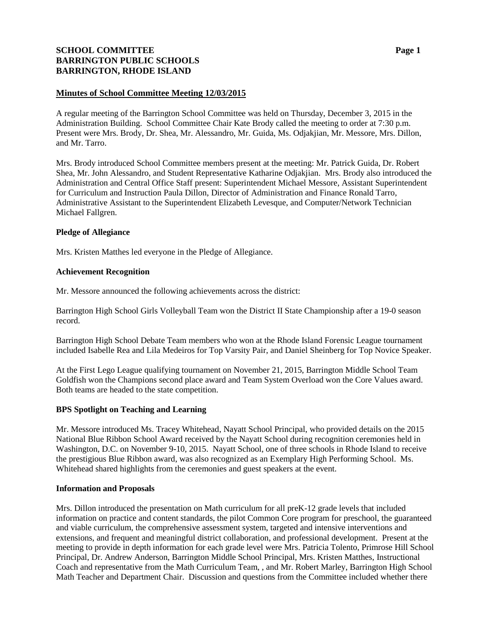# **SCHOOL COMMITTEE Page 1 BARRINGTON PUBLIC SCHOOLS BARRINGTON, RHODE ISLAND**

## **Minutes of School Committee Meeting 12/03/2015**

A regular meeting of the Barrington School Committee was held on Thursday, December 3, 2015 in the Administration Building. School Committee Chair Kate Brody called the meeting to order at 7:30 p.m. Present were Mrs. Brody, Dr. Shea, Mr. Alessandro, Mr. Guida, Ms. Odjakjian, Mr. Messore, Mrs. Dillon, and Mr. Tarro.

Mrs. Brody introduced School Committee members present at the meeting: Mr. Patrick Guida, Dr. Robert Shea, Mr. John Alessandro, and Student Representative Katharine Odjakjian. Mrs. Brody also introduced the Administration and Central Office Staff present: Superintendent Michael Messore, Assistant Superintendent for Curriculum and Instruction Paula Dillon, Director of Administration and Finance Ronald Tarro, Administrative Assistant to the Superintendent Elizabeth Levesque, and Computer/Network Technician Michael Fallgren.

#### **Pledge of Allegiance**

Mrs. Kristen Matthes led everyone in the Pledge of Allegiance.

# **Achievement Recognition**

Mr. Messore announced the following achievements across the district:

Barrington High School Girls Volleyball Team won the District II State Championship after a 19-0 season record.

Barrington High School Debate Team members who won at the Rhode Island Forensic League tournament included Isabelle Rea and Lila Medeiros for Top Varsity Pair, and Daniel Sheinberg for Top Novice Speaker.

At the First Lego League qualifying tournament on November 21, 2015, Barrington Middle School Team Goldfish won the Champions second place award and Team System Overload won the Core Values award. Both teams are headed to the state competition.

#### **BPS Spotlight on Teaching and Learning**

Mr. Messore introduced Ms. Tracey Whitehead, Nayatt School Principal, who provided details on the 2015 National Blue Ribbon School Award received by the Nayatt School during recognition ceremonies held in Washington, D.C. on November 9-10, 2015. Nayatt School, one of three schools in Rhode Island to receive the prestigious Blue Ribbon award, was also recognized as an Exemplary High Performing School. Ms. Whitehead shared highlights from the ceremonies and guest speakers at the event.

#### **Information and Proposals**

Mrs. Dillon introduced the presentation on Math curriculum for all preK-12 grade levels that included information on practice and content standards, the pilot Common Core program for preschool, the guaranteed and viable curriculum, the comprehensive assessment system, targeted and intensive interventions and extensions, and frequent and meaningful district collaboration, and professional development. Present at the meeting to provide in depth information for each grade level were Mrs. Patricia Tolento, Primrose Hill School Principal, Dr. Andrew Anderson, Barrington Middle School Principal, Mrs. Kristen Matthes, Instructional Coach and representative from the Math Curriculum Team, , and Mr. Robert Marley, Barrington High School Math Teacher and Department Chair. Discussion and questions from the Committee included whether there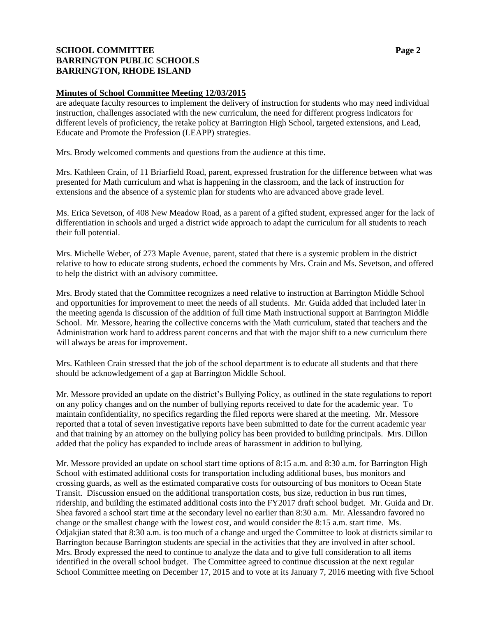# **SCHOOL COMMITTEE Page 2 BARRINGTON PUBLIC SCHOOLS BARRINGTON, RHODE ISLAND**

## **Minutes of School Committee Meeting 12/03/2015**

are adequate faculty resources to implement the delivery of instruction for students who may need individual instruction, challenges associated with the new curriculum, the need for different progress indicators for different levels of proficiency, the retake policy at Barrington High School, targeted extensions, and Lead, Educate and Promote the Profession (LEAPP) strategies.

Mrs. Brody welcomed comments and questions from the audience at this time.

Mrs. Kathleen Crain, of 11 Briarfield Road, parent, expressed frustration for the difference between what was presented for Math curriculum and what is happening in the classroom, and the lack of instruction for extensions and the absence of a systemic plan for students who are advanced above grade level.

Ms. Erica Sevetson, of 408 New Meadow Road, as a parent of a gifted student, expressed anger for the lack of differentiation in schools and urged a district wide approach to adapt the curriculum for all students to reach their full potential.

Mrs. Michelle Weber, of 273 Maple Avenue, parent, stated that there is a systemic problem in the district relative to how to educate strong students, echoed the comments by Mrs. Crain and Ms. Sevetson, and offered to help the district with an advisory committee.

Mrs. Brody stated that the Committee recognizes a need relative to instruction at Barrington Middle School and opportunities for improvement to meet the needs of all students. Mr. Guida added that included later in the meeting agenda is discussion of the addition of full time Math instructional support at Barrington Middle School. Mr. Messore, hearing the collective concerns with the Math curriculum, stated that teachers and the Administration work hard to address parent concerns and that with the major shift to a new curriculum there will always be areas for improvement.

Mrs. Kathleen Crain stressed that the job of the school department is to educate all students and that there should be acknowledgement of a gap at Barrington Middle School.

Mr. Messore provided an update on the district's Bullying Policy, as outlined in the state regulations to report on any policy changes and on the number of bullying reports received to date for the academic year. To maintain confidentiality, no specifics regarding the filed reports were shared at the meeting. Mr. Messore reported that a total of seven investigative reports have been submitted to date for the current academic year and that training by an attorney on the bullying policy has been provided to building principals. Mrs. Dillon added that the policy has expanded to include areas of harassment in addition to bullying.

Mr. Messore provided an update on school start time options of 8:15 a.m. and 8:30 a.m. for Barrington High School with estimated additional costs for transportation including additional buses, bus monitors and crossing guards, as well as the estimated comparative costs for outsourcing of bus monitors to Ocean State Transit. Discussion ensued on the additional transportation costs, bus size, reduction in bus run times, ridership, and building the estimated additional costs into the FY2017 draft school budget. Mr. Guida and Dr. Shea favored a school start time at the secondary level no earlier than 8:30 a.m. Mr. Alessandro favored no change or the smallest change with the lowest cost, and would consider the 8:15 a.m. start time. Ms. Odjakjian stated that 8:30 a.m. is too much of a change and urged the Committee to look at districts similar to Barrington because Barrington students are special in the activities that they are involved in after school. Mrs. Brody expressed the need to continue to analyze the data and to give full consideration to all items identified in the overall school budget. The Committee agreed to continue discussion at the next regular School Committee meeting on December 17, 2015 and to vote at its January 7, 2016 meeting with five School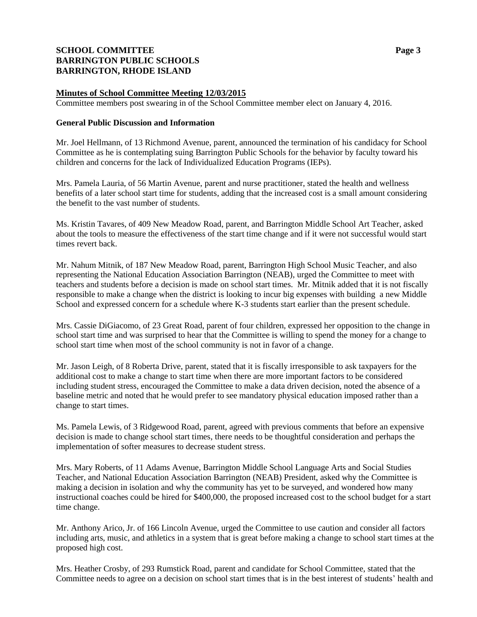# **SCHOOL COMMITTEE Page 3 BARRINGTON PUBLIC SCHOOLS BARRINGTON, RHODE ISLAND**

# **Minutes of School Committee Meeting 12/03/2015**

Committee members post swearing in of the School Committee member elect on January 4, 2016.

#### **General Public Discussion and Information**

Mr. Joel Hellmann, of 13 Richmond Avenue, parent, announced the termination of his candidacy for School Committee as he is contemplating suing Barrington Public Schools for the behavior by faculty toward his children and concerns for the lack of Individualized Education Programs (IEPs).

Mrs. Pamela Lauria, of 56 Martin Avenue, parent and nurse practitioner, stated the health and wellness benefits of a later school start time for students, adding that the increased cost is a small amount considering the benefit to the vast number of students.

Ms. Kristin Tavares, of 409 New Meadow Road, parent, and Barrington Middle School Art Teacher, asked about the tools to measure the effectiveness of the start time change and if it were not successful would start times revert back.

Mr. Nahum Mitnik, of 187 New Meadow Road, parent, Barrington High School Music Teacher, and also representing the National Education Association Barrington (NEAB), urged the Committee to meet with teachers and students before a decision is made on school start times. Mr. Mitnik added that it is not fiscally responsible to make a change when the district is looking to incur big expenses with building a new Middle School and expressed concern for a schedule where K-3 students start earlier than the present schedule.

Mrs. Cassie DiGiacomo, of 23 Great Road, parent of four children, expressed her opposition to the change in school start time and was surprised to hear that the Committee is willing to spend the money for a change to school start time when most of the school community is not in favor of a change.

Mr. Jason Leigh, of 8 Roberta Drive, parent, stated that it is fiscally irresponsible to ask taxpayers for the additional cost to make a change to start time when there are more important factors to be considered including student stress, encouraged the Committee to make a data driven decision, noted the absence of a baseline metric and noted that he would prefer to see mandatory physical education imposed rather than a change to start times.

Ms. Pamela Lewis, of 3 Ridgewood Road, parent, agreed with previous comments that before an expensive decision is made to change school start times, there needs to be thoughtful consideration and perhaps the implementation of softer measures to decrease student stress.

Mrs. Mary Roberts, of 11 Adams Avenue, Barrington Middle School Language Arts and Social Studies Teacher, and National Education Association Barrington (NEAB) President, asked why the Committee is making a decision in isolation and why the community has yet to be surveyed, and wondered how many instructional coaches could be hired for \$400,000, the proposed increased cost to the school budget for a start time change.

Mr. Anthony Arico, Jr. of 166 Lincoln Avenue, urged the Committee to use caution and consider all factors including arts, music, and athletics in a system that is great before making a change to school start times at the proposed high cost.

Mrs. Heather Crosby, of 293 Rumstick Road, parent and candidate for School Committee, stated that the Committee needs to agree on a decision on school start times that is in the best interest of students' health and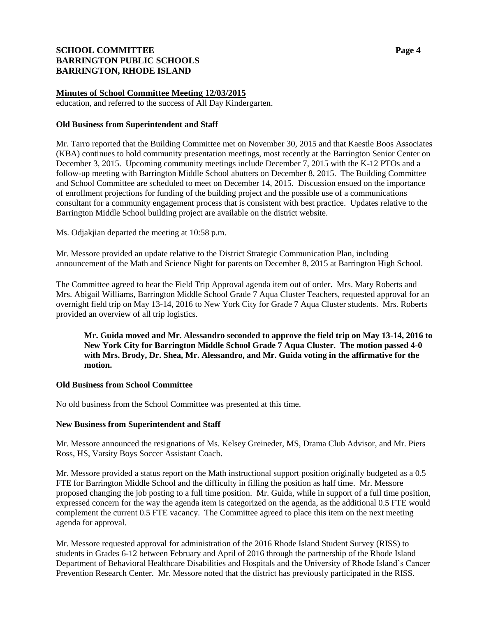# **SCHOOL COMMITTEE Page 4 BARRINGTON PUBLIC SCHOOLS BARRINGTON, RHODE ISLAND**

# **Minutes of School Committee Meeting 12/03/2015**

education, and referred to the success of All Day Kindergarten.

## **Old Business from Superintendent and Staff**

Mr. Tarro reported that the Building Committee met on November 30, 2015 and that Kaestle Boos Associates (KBA) continues to hold community presentation meetings, most recently at the Barrington Senior Center on December 3, 2015. Upcoming community meetings include December 7, 2015 with the K-12 PTOs and a follow-up meeting with Barrington Middle School abutters on December 8, 2015. The Building Committee and School Committee are scheduled to meet on December 14, 2015. Discussion ensued on the importance of enrollment projections for funding of the building project and the possible use of a communications consultant for a community engagement process that is consistent with best practice. Updates relative to the Barrington Middle School building project are available on the district website.

Ms. Odjakjian departed the meeting at 10:58 p.m.

Mr. Messore provided an update relative to the District Strategic Communication Plan, including announcement of the Math and Science Night for parents on December 8, 2015 at Barrington High School.

The Committee agreed to hear the Field Trip Approval agenda item out of order. Mrs. Mary Roberts and Mrs. Abigail Williams, Barrington Middle School Grade 7 Aqua Cluster Teachers, requested approval for an overnight field trip on May 13-14, 2016 to New York City for Grade 7 Aqua Cluster students. Mrs. Roberts provided an overview of all trip logistics.

**Mr. Guida moved and Mr. Alessandro seconded to approve the field trip on May 13-14, 2016 to New York City for Barrington Middle School Grade 7 Aqua Cluster. The motion passed 4-0 with Mrs. Brody, Dr. Shea, Mr. Alessandro, and Mr. Guida voting in the affirmative for the motion.**

#### **Old Business from School Committee**

No old business from the School Committee was presented at this time.

#### **New Business from Superintendent and Staff**

Mr. Messore announced the resignations of Ms. Kelsey Greineder, MS, Drama Club Advisor, and Mr. Piers Ross, HS, Varsity Boys Soccer Assistant Coach.

Mr. Messore provided a status report on the Math instructional support position originally budgeted as a 0.5 FTE for Barrington Middle School and the difficulty in filling the position as half time. Mr. Messore proposed changing the job posting to a full time position. Mr. Guida, while in support of a full time position, expressed concern for the way the agenda item is categorized on the agenda, as the additional 0.5 FTE would complement the current 0.5 FTE vacancy. The Committee agreed to place this item on the next meeting agenda for approval.

Mr. Messore requested approval for administration of the 2016 Rhode Island Student Survey (RISS) to students in Grades 6-12 between February and April of 2016 through the partnership of the Rhode Island Department of Behavioral Healthcare Disabilities and Hospitals and the University of Rhode Island's Cancer Prevention Research Center. Mr. Messore noted that the district has previously participated in the RISS.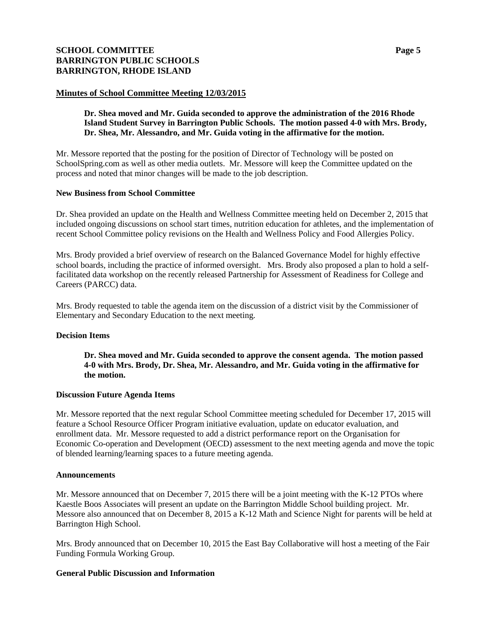# **SCHOOL COMMITTEE Page 5 BARRINGTON PUBLIC SCHOOLS BARRINGTON, RHODE ISLAND**

#### **Minutes of School Committee Meeting 12/03/2015**

#### **Dr. Shea moved and Mr. Guida seconded to approve the administration of the 2016 Rhode Island Student Survey in Barrington Public Schools. The motion passed 4-0 with Mrs. Brody, Dr. Shea, Mr. Alessandro, and Mr. Guida voting in the affirmative for the motion.**

Mr. Messore reported that the posting for the position of Director of Technology will be posted on SchoolSpring.com as well as other media outlets. Mr. Messore will keep the Committee updated on the process and noted that minor changes will be made to the job description.

#### **New Business from School Committee**

Dr. Shea provided an update on the Health and Wellness Committee meeting held on December 2, 2015 that included ongoing discussions on school start times, nutrition education for athletes, and the implementation of recent School Committee policy revisions on the Health and Wellness Policy and Food Allergies Policy.

Mrs. Brody provided a brief overview of research on the Balanced Governance Model for highly effective school boards, including the practice of informed oversight. Mrs. Brody also proposed a plan to hold a selffacilitated data workshop on the recently released Partnership for Assessment of Readiness for College and Careers (PARCC) data.

Mrs. Brody requested to table the agenda item on the discussion of a district visit by the Commissioner of Elementary and Secondary Education to the next meeting.

#### **Decision Items**

**Dr. Shea moved and Mr. Guida seconded to approve the consent agenda. The motion passed 4-0 with Mrs. Brody, Dr. Shea, Mr. Alessandro, and Mr. Guida voting in the affirmative for the motion.**

#### **Discussion Future Agenda Items**

Mr. Messore reported that the next regular School Committee meeting scheduled for December 17, 2015 will feature a School Resource Officer Program initiative evaluation, update on educator evaluation, and enrollment data. Mr. Messore requested to add a district performance report on the Organisation for Economic Co-operation and Development (OECD) assessment to the next meeting agenda and move the topic of blended learning/learning spaces to a future meeting agenda.

#### **Announcements**

Mr. Messore announced that on December 7, 2015 there will be a joint meeting with the K-12 PTOs where Kaestle Boos Associates will present an update on the Barrington Middle School building project. Mr. Messore also announced that on December 8, 2015 a K-12 Math and Science Night for parents will be held at Barrington High School.

Mrs. Brody announced that on December 10, 2015 the East Bay Collaborative will host a meeting of the Fair Funding Formula Working Group.

#### **General Public Discussion and Information**